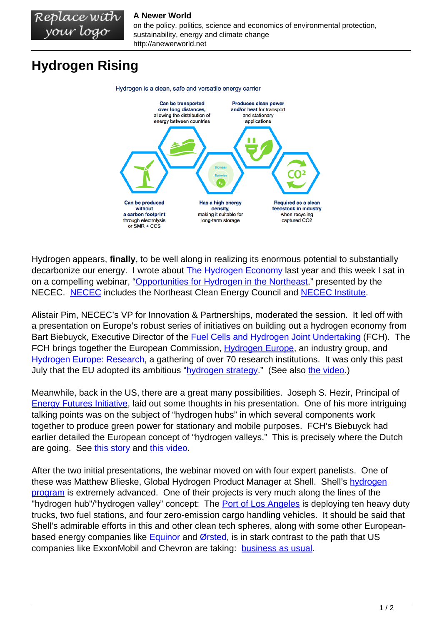## **A Newer World**

on the policy, politics, science and economics of environmental protection, sustainability, energy and climate change http://anewerworld.net

## **Hydrogen Rising**

Replace with your logo



Hydrogen appears, **finally**, to be well along in realizing its enormous potential to substantially decarbonize our energy. I wrote about [The Hydrogen Economy](http://anewerworld.net/the-hydrogen-economy/) last year and this week I sat in on a compelling webinar, "[Opportunities for Hydrogen in the Northeast,](https://www.necec.org/blog-details/hydrogens-potential-to-reduce-emissions-and-drive-growth-in-the-northeast)" presented by the NECEC. [NECEC](https://www.necec.org/) includes the Northeast Clean Energy Council and [NECEC Institute.](https://www.necec.org/about/necec-institute.html)

Alistair Pim, NECEC's VP for Innovation & Partnerships, moderated the session. It led off with a presentation on Europe's robust series of initiatives on building out a hydrogen economy from Bart Biebuyck, Executive Director of the [Fuel Cells and Hydrogen Joint Undertaking](https://www.fch.europa.eu/) (FCH). The FCH brings together the European Commission, [Hydrogen Europe,](https://www.hydrogeneurope.eu/index.php/) an industry group, and [Hydrogen Europe: Research,](https://www.hydrogeneurope.eu/research) a gathering of over 70 research institutions. It was only this past July that the EU adopted its ambitious ["hydrogen strategy](https://ec.europa.eu/commission/presscorner/detail/en/ip_20_1259)." (See also [the video](https://audiovisual.ec.europa.eu/en/video/I-192703?&lg=OR).)

Meanwhile, back in the US, there are a great many possibilities. Joseph S. Hezir, Principal of [Energy Futures Initiative,](https://energyfuturesinitiative.org/) laid out some thoughts in his presentation. One of his more intriguing talking points was on the subject of "hydrogen hubs" in which several components work together to produce green power for stationary and mobile purposes. FCH's Biebuyck had earlier detailed the European concept of "hydrogen valleys." This is precisely where the Dutch are going. See [this story](https://www.euractiv.com/section/energy/news/dutch-pin-hopes-on-hydrogen-valley-to-revive-declining-gas-region/) and [this video.](https://www.youtube.com/watch?v=L27dkYyg04g)

After the two initial presentations, the webinar moved on with four expert panelists. One of these was Matthew Blieske, Global Hydrogen Product Manager at Shell. Shell's [hydrogen](https://www.shell.com/energy-and-innovation/new-energies/hydrogen.html) [program](https://www.shell.com/energy-and-innovation/new-energies/hydrogen.html) is extremely advanced. One of their projects is very much along the lines of the "hydrogen hub"/"hydrogen valley" concept: The [Port of Los Angeles](https://www.portoflosangeles.org/references/news_091418_carb_toyota) is deploying ten heavy duty trucks, two fuel stations, and four zero-emission cargo handling vehicles. It should be said that Shell's admirable efforts in this and other clean tech spheres, along with some other Europeanbased energy companies like **Equinor and [Ørsted](https://orsted.com/en/our-business)**, is in stark contrast to the path that US companies like ExxonMobil and Chevron are taking: [business as usual.](https://www.nytimes.com/2020/09/21/business/energy-environment/oil-climate-change-us-europe.html)